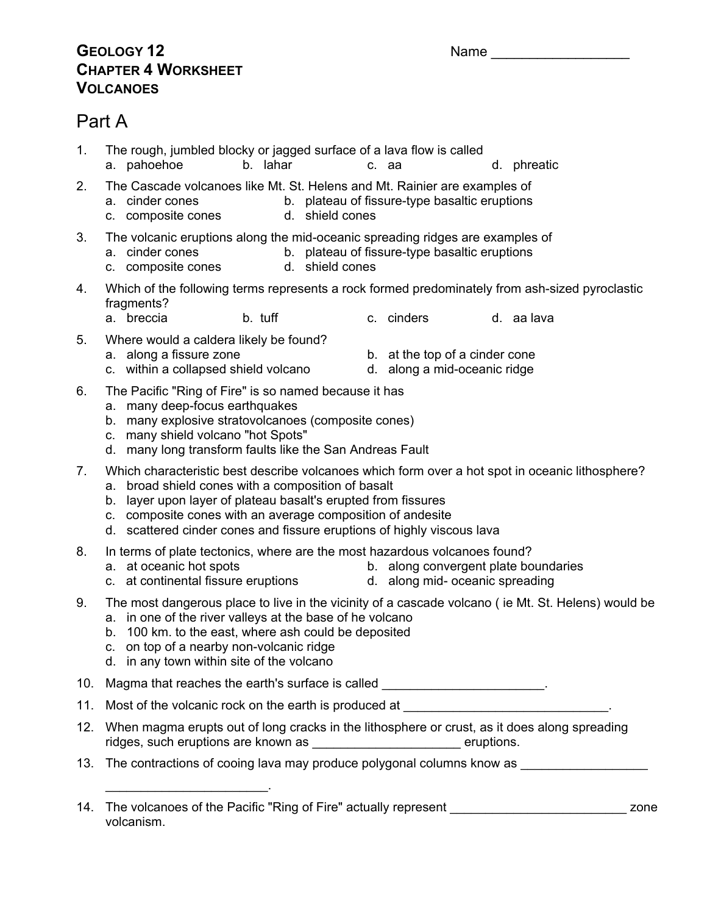#### **GEOLOGY 12** Name **CHAPTER 4 WORKSHEET VOLCANOES**

### Part A

volcanism.

a. pahoehoe b. lahar c. aa d. phreatic 2. The Cascade volcanoes like Mt. St. Helens and Mt. Rainier are examples of b. plateau of fissure-type basaltic eruptions a. cinder cones b. plateau of fisic.<br>
c. composite cones d. shield cones 3. The volcanic eruptions along the mid-oceanic spreading ridges are examples of a. cinder cones b. plateau of fissure-type basaltic eruptions c. composite cones d. shield cones 4. Which of the following terms represents a rock formed predominately from ash-sized pyroclastic fragments? a. breccia b. tuff c. cinders d. aa lava 5. Where would a caldera likely be found? a. along a fissure zone b. at the top of a cinder cone c. within a collapsed shield volcano d. along a mid-oceanic ridge 6. The Pacific "Ring of Fire" is so named because it has a. many deep-focus earthquakes b. many explosive stratovolcanoes (composite cones) c. many shield volcano "hot Spots" d. many long transform faults like the San Andreas Fault 7. Which characteristic best describe volcanoes which form over a hot spot in oceanic lithosphere? a. broad shield cones with a composition of basalt b. layer upon layer of plateau basalt's erupted from fissures c. composite cones with an average composition of andesite d. scattered cinder cones and fissure eruptions of highly viscous lava 8. In terms of plate tectonics, where are the most hazardous volcanoes found? a. at oceanic hot spots b. along convergent plate boundaries c. at continental fissure eruptions d. along mid- oceanic spreading 9. The most dangerous place to live in the vicinity of a cascade volcano ( ie Mt. St. Helens) would be a. in one of the river valleys at the base of he volcano b. 100 km. to the east, where ash could be deposited c. on top of a nearby non-volcanic ridge d. in any town within site of the volcano 10. Magma that reaches the earth's surface is called \_\_\_\_\_\_\_\_\_\_\_\_\_\_\_\_\_\_\_\_\_\_\_. 11. Most of the volcanic rock on the earth is produced at 12. When magma erupts out of long cracks in the lithosphere or crust, as it does along spreading ridges, such eruptions are known as \_\_\_\_\_\_\_\_\_\_\_\_\_\_\_\_\_\_\_\_\_\_\_\_\_\_\_\_\_ eruptions. 13. The contractions of cooing lava may produce polygonal columns know as \_\_\_\_\_\_\_\_\_\_\_\_\_\_\_\_\_\_  $\overline{\phantom{a}}$  , and the set of the set of the set of the set of the set of the set of the set of the set of the set of the set of the set of the set of the set of the set of the set of the set of the set of the set of the s 14. The volcanoes of the Pacific "Ring of Fire" actually represent **contained a set of the Southern A** zone

1. The rough, jumbled blocky or jagged surface of a lava flow is called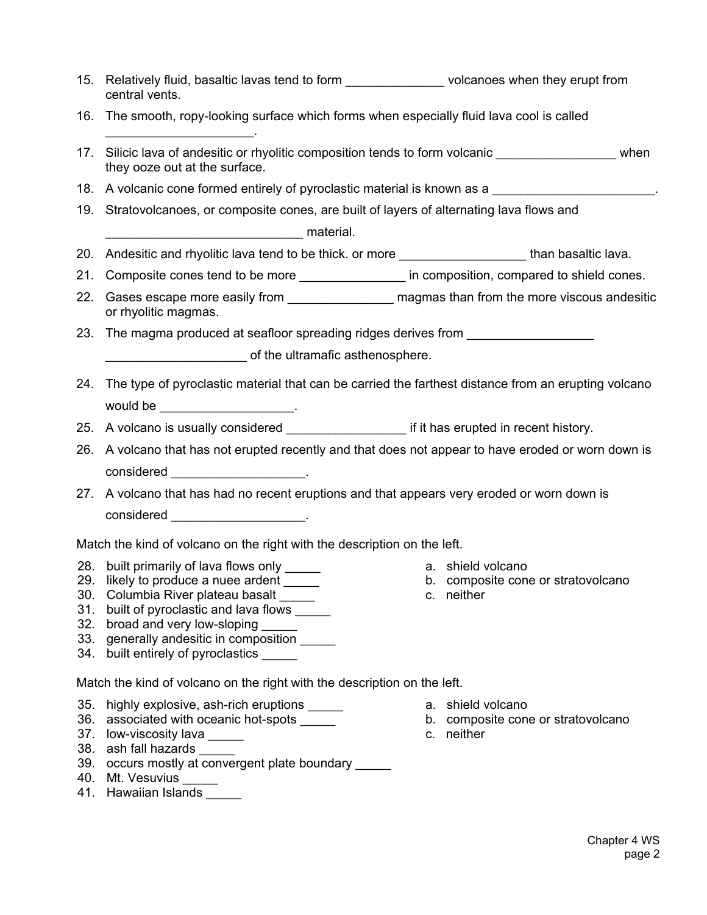|                                                                          | 15. Relatively fluid, basaltic lavas tend to form _________________volcanoes when they erupt from<br>central vents.                                                                                                                                                                            |                                                                       |
|--------------------------------------------------------------------------|------------------------------------------------------------------------------------------------------------------------------------------------------------------------------------------------------------------------------------------------------------------------------------------------|-----------------------------------------------------------------------|
| 16.                                                                      | The smooth, ropy-looking surface which forms when especially fluid lava cool is called                                                                                                                                                                                                         |                                                                       |
| 17.                                                                      | Silicic lava of andesitic or rhyolitic composition tends to form volcanic<br>they ooze out at the surface.                                                                                                                                                                                     |                                                                       |
|                                                                          | 18. A volcanic cone formed entirely of pyroclastic material is known as a                                                                                                                                                                                                                      |                                                                       |
| 19.                                                                      | Stratovolcanoes, or composite cones, are built of layers of alternating lava flows and                                                                                                                                                                                                         |                                                                       |
| 20.                                                                      | Andesitic and rhyolitic lava tend to be thick. or more ______________________than basaltic lava.                                                                                                                                                                                               |                                                                       |
|                                                                          | 21. Composite cones tend to be more ____________________ in composition, compared to shield cones.                                                                                                                                                                                             |                                                                       |
| 22.                                                                      | Gases escape more easily from __________________ magmas than from the more viscous andesitic<br>or rhyolitic magmas.                                                                                                                                                                           |                                                                       |
| 23.                                                                      | The magma produced at seafloor spreading ridges derives from ___________________                                                                                                                                                                                                               |                                                                       |
| of the ultramafic asthenosphere.                                         |                                                                                                                                                                                                                                                                                                |                                                                       |
| 24.                                                                      | The type of pyroclastic material that can be carried the farthest distance from an erupting volcano<br>would be $\frac{1}{2}$ .                                                                                                                                                                |                                                                       |
|                                                                          | 25. A volcano is usually considered ________________________ if it has erupted in recent history.                                                                                                                                                                                              |                                                                       |
| 26.                                                                      | A volcano that has not erupted recently and that does not appear to have eroded or worn down is                                                                                                                                                                                                |                                                                       |
|                                                                          |                                                                                                                                                                                                                                                                                                |                                                                       |
|                                                                          | 27. A volcano that has had no recent eruptions and that appears very eroded or worn down is                                                                                                                                                                                                    |                                                                       |
|                                                                          |                                                                                                                                                                                                                                                                                                |                                                                       |
|                                                                          |                                                                                                                                                                                                                                                                                                |                                                                       |
|                                                                          | Match the kind of volcano on the right with the description on the left.                                                                                                                                                                                                                       |                                                                       |
| 28.<br>29.<br>31.<br>34.                                                 | built primarily of lava flows only _____<br>likely to produce a nuee ardent _____<br>30. Columbia River plateau basalt _____<br>built of pyroclastic and lava flows ______<br>32. broad and very low-sloping<br>33. generally andesitic in composition _____<br>built entirely of pyroclastics | a. shield volcano<br>b. composite cone or stratovolcano<br>c. neither |
| Match the kind of volcano on the right with the description on the left. |                                                                                                                                                                                                                                                                                                |                                                                       |
| 35.<br>41.                                                               | highly explosive, ash-rich eruptions _____<br>36. associated with oceanic hot-spots<br>37. low-viscosity lava _____<br>38. ash fall hazards _____<br>39. occurs mostly at convergent plate boundary<br>40. Mt. Vesuvius _____<br>Hawaiian Islands                                              | a. shield volcano<br>b. composite cone or stratovolcano<br>c. neither |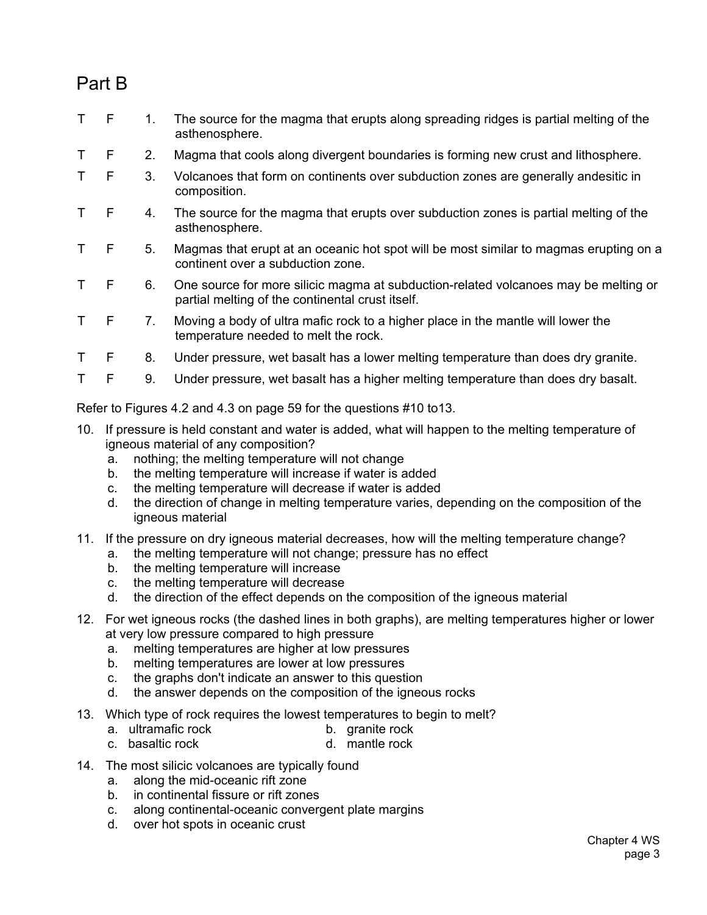## Part B

- T F 1. The source for the magma that erupts along spreading ridges is partial melting of the asthenosphere.
- T F 2. Magma that cools along divergent boundaries is forming new crust and lithosphere.
- T F 3. Volcanoes that form on continents over subduction zones are generally andesitic in composition.
- T F 4. The source for the magma that erupts over subduction zones is partial melting of the asthenosphere.
- T F 5. Magmas that erupt at an oceanic hot spot will be most similar to magmas erupting on a continent over a subduction zone.
- T F 6. One source for more silicic magma at subduction-related volcanoes may be melting or partial melting of the continental crust itself.
- T F 7. Moving a body of ultra mafic rock to a higher place in the mantle will lower the temperature needed to melt the rock.
- T F 8. Under pressure, wet basalt has a lower melting temperature than does dry granite.
- T F 9. Under pressure, wet basalt has a higher melting temperature than does dry basalt.

Refer to Figures 4.2 and 4.3 on page 59 for the questions #10 to13.

- 10. If pressure is held constant and water is added, what will happen to the melting temperature of igneous material of any composition?
	- a. nothing; the melting temperature will not change
	- b. the melting temperature will increase if water is added
	- c. the melting temperature will decrease if water is added
	- d. the direction of change in melting temperature varies, depending on the composition of the igneous material
- 11. If the pressure on dry igneous material decreases, how will the melting temperature change?
	- a. the melting temperature will not change; pressure has no effect
	- b. the melting temperature will increase
	- c. the melting temperature will decrease
	- d. the direction of the effect depends on the composition of the igneous material
- 12. For wet igneous rocks (the dashed lines in both graphs), are melting temperatures higher or lower at very low pressure compared to high pressure
	- a. melting temperatures are higher at low pressures
	- b. melting temperatures are lower at low pressures
	- c. the graphs don't indicate an answer to this question
	- d. the answer depends on the composition of the igneous rocks
- 13. Which type of rock requires the lowest temperatures to begin to melt?
	-
	- a. ultramafic rock b. granite rock<br>c. basaltic rock b. mantle rock b. c. basaltic rock
- 14. The most silicic volcanoes are typically found
	- a. along the mid-oceanic rift zone
	- b. in continental fissure or rift zones
	- c. along continental-oceanic convergent plate margins
	- d. over hot spots in oceanic crust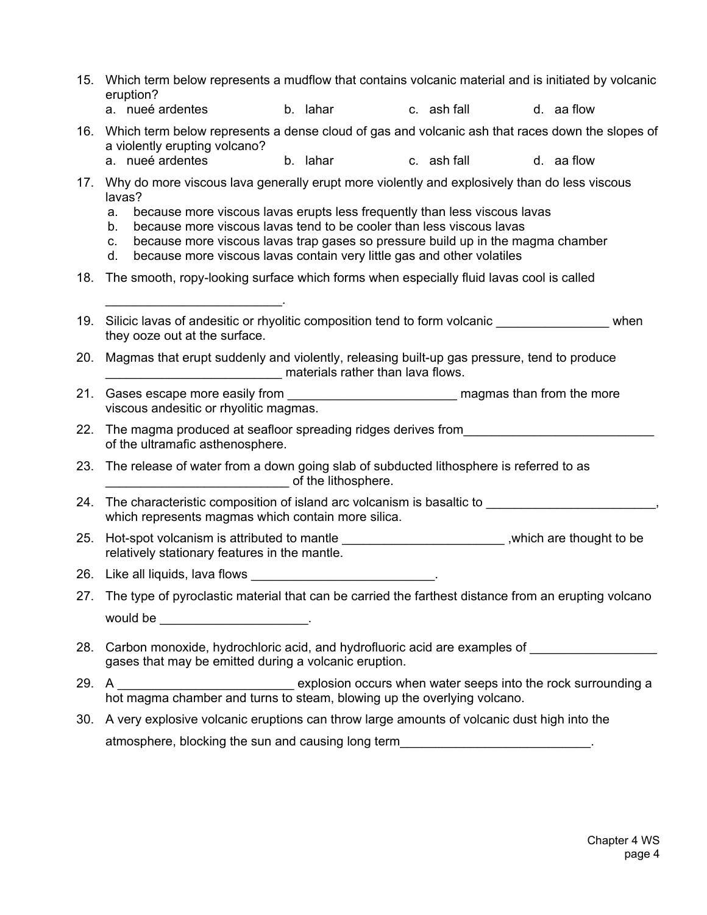- 15. Which term below represents a mudflow that contains volcanic material and is initiated by volcanic eruption?
	- a.nueé ardentesb.laharc.ash falld.aa flow
- 16. Which term below represents a dense cloud of gas and volcanic ash that races down the slopes of a violently erupting volcano?<br>a. nueé ardentes
	- a.nueé ardentesb.lahar c.ash falld.aa flow
- 17. Why do more viscous lava generally erupt more violently and explosively than do less viscous lavas?
	- a. because more viscous lavas erupts less frequently than less viscous lavas
	- b. because more viscous lavas tend to be cooler than less viscous lavas
	- c. because more viscous lavas trap gases so pressure build up in the magma chamber
	- d. because more viscous lavas contain very little gas and other volatiles
- 18. The smooth, ropy-looking surface which forms when especially fluid lavas cool is called
- 19. Silicic lavas of andesitic or rhyolitic composition tend to form volcanic \_\_\_\_\_\_\_\_\_\_\_\_\_\_\_\_ when they ooze out at the surface.
- 20. Magmas that erupt suddenly and violently, releasing built-up gas pressure, tend to produce \_\_\_\_\_\_\_\_\_\_\_\_\_\_\_\_\_\_\_\_\_\_\_\_\_ materials rather than lava flows.
- 21. Gases escape more easily from \_\_\_\_\_\_\_\_\_\_\_\_\_\_\_\_\_\_\_\_\_\_\_\_ magmas than from the more viscous andesitic or rhyolitic magmas.
- 22. The magma produced at seafloor spreading ridges derives from of the ultramafic asthenosphere.
- 23. The release of water from a down going slab of subducted lithosphere is referred to as \_\_\_\_\_\_\_\_\_\_\_\_\_\_\_\_\_\_\_\_\_\_\_\_\_\_ of the lithosphere.
- 24. The characteristic composition of island arc volcanism is basaltic to \_\_\_\_\_\_\_\_\_\_\_\_\_\_\_\_\_\_\_\_\_\_\_, which represents magmas which contain more silica.
- 25. Hot-spot volcanism is attributed to mantle \_\_\_\_\_\_\_\_\_\_\_\_\_\_\_\_\_\_\_\_\_\_\_\_\_,which are thought to be relatively stationary features in the mantle.
- 26. Like all liquids, lava flows

 $\overline{\phantom{a}}$  , and the set of the set of the set of the set of the set of the set of the set of the set of the set of the set of the set of the set of the set of the set of the set of the set of the set of the set of the s

- 27. The type of pyroclastic material that can be carried the farthest distance from an erupting volcano would be the contract of the contract of the contract of the contract of the contract of the contract of the contract of the contract of the contract of the contract of the contract of the contract of the contract of the c
- 28. Carbon monoxide, hydrochloric acid, and hydrofluoric acid are examples of gases that may be emitted during a volcanic eruption.
- 29. A \_\_\_\_\_\_\_\_\_\_\_\_\_\_\_\_\_\_\_\_\_\_\_\_\_\_\_\_\_\_\_\_\_\_ explosion occurs when water seeps into the rock surrounding a hot magma chamber and turns to steam, blowing up the overlying volcano.
- 30. A very explosive volcanic eruptions can throw large amounts of volcanic dust high into the atmosphere, blocking the sun and causing long term\_\_\_\_\_\_\_\_\_\_\_\_\_\_\_\_\_\_\_\_\_\_\_\_\_\_\_\_\_\_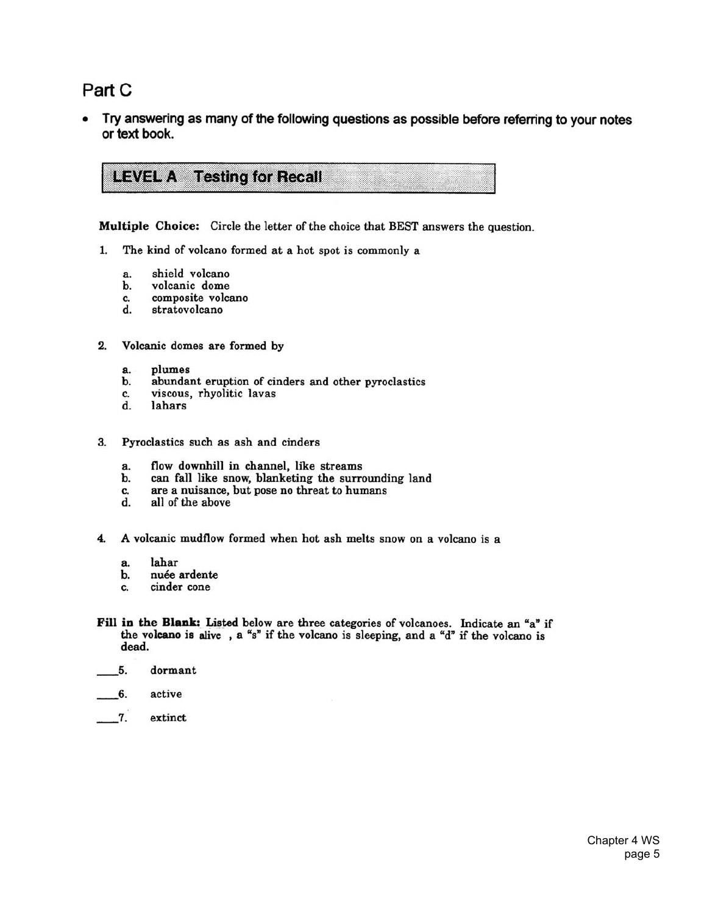### Part C

Try answering as many of the following questions as possible before referring to your notes or text book.

**LEVEL A** Testing for Recall

Multiple Choice: Circle the letter of the choice that BEST answers the question.

- 1. The kind of volcano formed at a hot spot is commonly a
	- shield volcano a.
	- volcanic dome b.
	- composite volcano c.
	- stratovolcano d.
- $2.$ Volcanic domes are formed by
	- plumes a.
	- b. abundant eruption of cinders and other pyroclastics
	- viscous, rhyolitic lavas c.
	- d. lahars
- 3. Pyroclastics such as ash and cinders
	- flow downhill in channel, like streams a.
	- can fall like snow, blanketing the surrounding land b.
	- are a nuisance, but pose no threat to humans c.
	- $\mathbf{d}$ . all of the above
- A volcanic mudflow formed when hot ash melts snow on a volcano is a  $\overline{\mathbf{4}}$ 
	- lahar а.
	- nuée ardente b.
	- cinder cone c.
- Fill in the Blank: Listed below are three categories of volcanoes. Indicate an "a" if the volcano is alive, a "s" if the volcano is sleeping, and a "d" if the volcano is dead.
- $5.$ dormant
- $\overline{\phantom{0}}$  6. active
- $\overline{\phantom{0}}$ extinct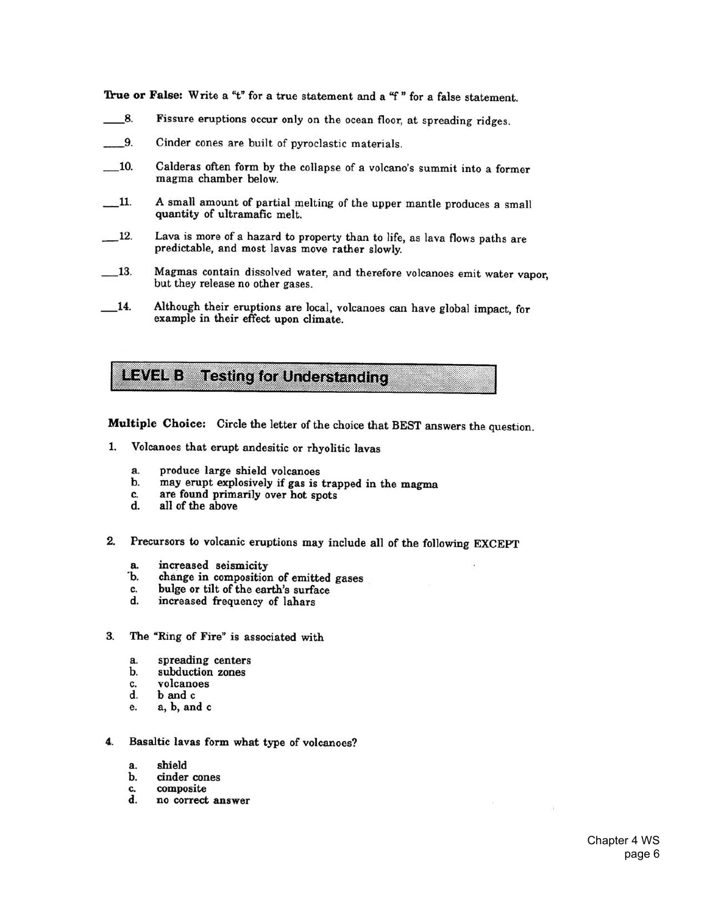True or False: Write a "t" for a true statement and a "f" for a false statement.

- 8. Fissure eruptions occur only on the ocean floor, at spreading ridges.
- $9.$ Cinder cones are built of pyroclastic materials.
- $-10.$ Calderas often form by the collapse of a volcano's summit into a former magma chamber below.
- A small amount of partial melting of the upper mantle produces a small  $11.$ quantity of ultramafic melt.
- $\_\$ {12}. Lava is more of a hazard to property than to life, as lava flows paths are predictable, and most lavas move rather slowly.
- Magmas contain dissolved water, and therefore volcanoes emit water vapor, 13. but they release no other gases.
- Although their eruptions are local, volcanoes can have global impact, for  $\overline{\phantom{0}14}$ . example in their effect upon climate.

LEVEL B **Testing for Understanding** 

Multiple Choice: Circle the letter of the choice that BEST answers the question.

- Volcanoes that erupt andesitic or rhyolitic lavas 1.
	- produce large shield volcanoes a.
	- may erupt explosively if gas is trapped in the magma b.
	- are found primarily over hot spots c.
	- d. all of the above
- 2. Precursors to volcanic eruptions may include all of the following EXCEPT
	- increased seismicity а.
	- Ъ. change in composition of emitted gases
	- bulge or tilt of the earth's surface c.
	- d. increased frequency of lahars
- 3. The "Ring of Fire" is associated with
	- spreading centers a.
	- subduction zones b.
	- volcanoes C.
	- d. b and c
	- a, b, and c e.
- Basaltic lavas form what type of volcanoes? 4.
	- a. shield
	- b. cinder cones
	- composite c.
	- d. no correct answer